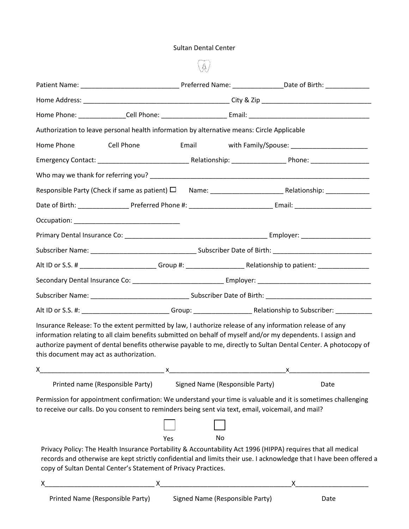## Sultan Dental Center

| Authorization to leave personal health information by alternative means: Circle Applicable                                                                                                                                                                                                                                                                                           |     |                                 |                                          |
|--------------------------------------------------------------------------------------------------------------------------------------------------------------------------------------------------------------------------------------------------------------------------------------------------------------------------------------------------------------------------------------|-----|---------------------------------|------------------------------------------|
| Home Phone<br>Cell Phone                                                                                                                                                                                                                                                                                                                                                             |     |                                 | Email Mith Family/Spouse: 2020 2020 2021 |
|                                                                                                                                                                                                                                                                                                                                                                                      |     |                                 |                                          |
|                                                                                                                                                                                                                                                                                                                                                                                      |     |                                 |                                          |
|                                                                                                                                                                                                                                                                                                                                                                                      |     |                                 |                                          |
|                                                                                                                                                                                                                                                                                                                                                                                      |     |                                 |                                          |
|                                                                                                                                                                                                                                                                                                                                                                                      |     |                                 |                                          |
|                                                                                                                                                                                                                                                                                                                                                                                      |     |                                 |                                          |
|                                                                                                                                                                                                                                                                                                                                                                                      |     |                                 |                                          |
|                                                                                                                                                                                                                                                                                                                                                                                      |     |                                 |                                          |
|                                                                                                                                                                                                                                                                                                                                                                                      |     |                                 |                                          |
|                                                                                                                                                                                                                                                                                                                                                                                      |     |                                 |                                          |
|                                                                                                                                                                                                                                                                                                                                                                                      |     |                                 |                                          |
| Insurance Release: To the extent permitted by law, I authorize release of any information release of any<br>information relating to all claim benefits submitted on behalf of myself and/or my dependents. I assign and<br>authorize payment of dental benefits otherwise payable to me, directly to Sultan Dental Center. A photocopy of<br>this document may act as authorization. |     |                                 |                                          |
| x                                                                                                                                                                                                                                                                                                                                                                                    |     |                                 | $\mathsf{X}$                             |
| Printed name (Responsible Party)                                                                                                                                                                                                                                                                                                                                                     |     | Signed Name (Responsible Party) | Date                                     |
| Permission for appointment confirmation: We understand your time is valuable and it is sometimes challenging<br>to receive our calls. Do you consent to reminders being sent via text, email, voicemail, and mail?                                                                                                                                                                   |     |                                 |                                          |
|                                                                                                                                                                                                                                                                                                                                                                                      |     |                                 |                                          |
|                                                                                                                                                                                                                                                                                                                                                                                      | Yes | No                              |                                          |
| Privacy Policy: The Health Insurance Portability & Accountability Act 1996 (HIPPA) requires that all medical<br>records and otherwise are kept strictly confidential and limits their use. I acknowledge that I have been offered a<br>copy of Sultan Dental Center's Statement of Privacy Practices.                                                                                |     |                                 |                                          |
|                                                                                                                                                                                                                                                                                                                                                                                      |     |                                 |                                          |
| $Drintod Nama (Pacnoncihla Partu)$ Signed Name (Pecnonsible Party)                                                                                                                                                                                                                                                                                                                   |     |                                 | $\mathsf{Data}$                          |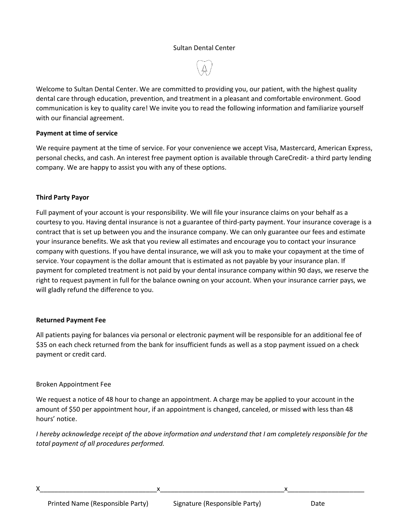# Sultan Dental Center

Welcome to Sultan Dental Center. We are committed to providing you, our patient, with the highest quality dental care through education, prevention, and treatment in a pleasant and comfortable environment. Good communication is key to quality care! We invite you to read the following information and familiarize yourself with our financial agreement.

# **Payment at time of service**

We require payment at the time of service. For your convenience we accept Visa, Mastercard, American Express, personal checks, and cash. An interest free payment option is available through CareCredit- a third party lending company. We are happy to assist you with any of these options.

### **Third Party Payor**

Full payment of your account is your responsibility. We will file your insurance claims on your behalf as a courtesy to you. Having dental insurance is not a guarantee of third-party payment. Your insurance coverage is a contract that is set up between you and the insurance company. We can only guarantee our fees and estimate your insurance benefits. We ask that you review all estimates and encourage you to contact your insurance company with questions. If you have dental insurance, we will ask you to make your copayment at the time of service. Your copayment is the dollar amount that is estimated as not payable by your insurance plan. If payment for completed treatment is not paid by your dental insurance company within 90 days, we reserve the right to request payment in full for the balance owning on your account. When your insurance carrier pays, we will gladly refund the difference to you.

### **Returned Payment Fee**

All patients paying for balances via personal or electronic payment will be responsible for an additional fee of \$35 on each check returned from the bank for insufficient funds as well as a stop payment issued on a check payment or credit card.

# Broken Appointment Fee

We request a notice of 48 hour to change an appointment. A charge may be applied to your account in the amount of \$50 per appointment hour, if an appointment is changed, canceled, or missed with less than 48 hours' notice.

*I* hereby acknowledge receipt of the above information and understand that I am completely responsible for the *total payment of all procedures performed.*